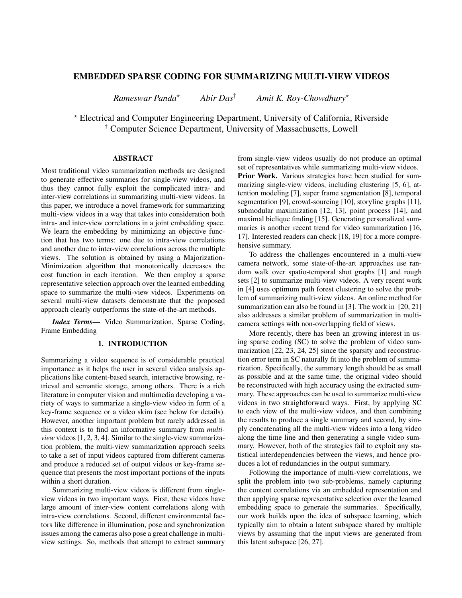# EMBEDDED SPARSE CODING FOR SUMMARIZING MULTI-VIEW VIDEOS

*Rameswar Panda*? *Abir Das*† *Amit K. Roy-Chowdhury*?

? Electrical and Computer Engineering Department, University of California, Riverside † Computer Science Department, University of Massachusetts, Lowell

## ABSTRACT

Most traditional video summarization methods are designed to generate effective summaries for single-view videos, and thus they cannot fully exploit the complicated intra- and inter-view correlations in summarizing multi-view videos. In this paper, we introduce a novel framework for summarizing multi-view videos in a way that takes into consideration both intra- and inter-view correlations in a joint embedding space. We learn the embedding by minimizing an objective function that has two terms: one due to intra-view correlations and another due to inter-view correlations across the multiple views. The solution is obtained by using a Majorization-Minimization algorithm that monotonically decreases the cost function in each iteration. We then employ a sparse representative selection approach over the learned embedding space to summarize the multi-view videos. Experiments on several multi-view datasets demonstrate that the proposed approach clearly outperforms the state-of-the-art methods.

*Index Terms*— Video Summarization, Sparse Coding, Frame Embedding

#### 1. INTRODUCTION

Summarizing a video sequence is of considerable practical importance as it helps the user in several video analysis applications like content-based search, interactive browsing, retrieval and semantic storage, among others. There is a rich literature in computer vision and multimedia developing a variety of ways to summarize a single-view video in form of a key-frame sequence or a video skim (see below for details). However, another important problem but rarely addressed in this context is to find an informative summary from *multiview* videos [1, 2, 3, 4]. Similar to the single-view summarization problem, the multi-view summarization approach seeks to take a set of input videos captured from different cameras and produce a reduced set of output videos or key-frame sequence that presents the most important portions of the inputs within a short duration.

Summarizing multi-view videos is different from singleview videos in two important ways. First, these videos have large amount of inter-view content correlations along with intra-view correlations. Second, different environmental factors like difference in illumination, pose and synchronization issues among the cameras also pose a great challenge in multiview settings. So, methods that attempt to extract summary

from single-view videos usually do not produce an optimal set of representatives while summarizing multi-view videos. Prior Work. Various strategies have been studied for summarizing single-view videos, including clustering [5, 6], attention modeling [7], super frame segmentation [8], temporal segmentation [9], crowd-sourcing [10], storyline graphs [11], submodular maximization [12, 13], point process [14], and maximal biclique finding [15]. Generating personalized summaries is another recent trend for video summarization [16, 17]. Interested readers can check [18, 19] for a more comprehensive summary.

To address the challenges encountered in a multi-view camera network, some state-of-the-art approaches use random walk over spatio-temporal shot graphs [1] and rough sets [2] to summarize multi-view videos. A very recent work in [4] uses optimum path forest clustering to solve the problem of summarizing multi-view videos. An online method for summarization can also be found in [3]. The work in [20, 21] also addresses a similar problem of summarization in multicamera settings with non-overlapping field of views.

More recently, there has been an growing interest in using sparse coding (SC) to solve the problem of video summarization [22, 23, 24, 25] since the sparsity and reconstruction error term in SC naturally fit into the problem of summarization. Specifically, the summary length should be as small as possible and at the same time, the original video should be reconstructed with high accuracy using the extracted summary. These approaches can be used to summarize multi-view videos in two straightforward ways. First, by applying SC to each view of the multi-view videos, and then combining the results to produce a single summary and second, by simply concatenating all the multi-view videos into a long video along the time line and then generating a single video summary. However, both of the strategies fail to exploit any statistical interdependencies between the views, and hence produces a lot of redundancies in the output summary.

Following the importance of multi-view correlations, we split the problem into two sub-problems, namely capturing the content correlations via an embedded representation and then applying sparse representative selection over the learned embedding space to generate the summaries. Specifically, our work builds upon the idea of subspace learning, which typically aim to obtain a latent subspace shared by multiple views by assuming that the input views are generated from this latent subspace [26, 27].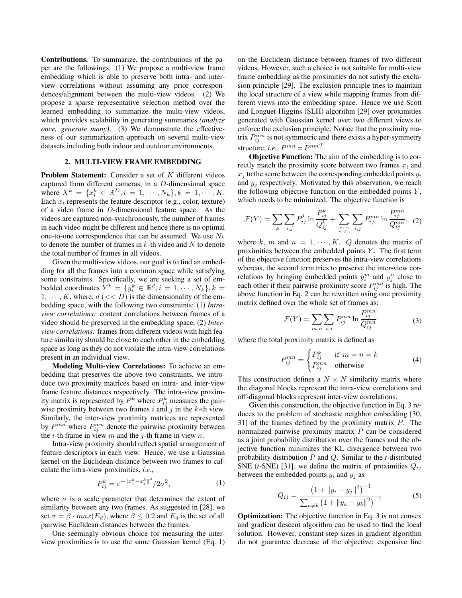Contributions. To summarize, the contributions of the paper are the followings. (1) We propose a multi-view frame embedding which is able to preserve both intra- and interview correlations without assuming any prior correspondences/alignment between the multi-view videos. (2) We propose a sparse representative selection method over the learned embedding to summarize the multi-view videos, which provides scalability in generating summaries *(analyze once, generate many)*. (3) We demonstrate the effectiveness of our summarization approach on several multi-view datasets including both indoor and outdoor environments.

## 2. MULTI-VIEW FRAME EMBEDDING

Problem Statement: Consider a set of K different videos captured from different cameras, in a D-dimensional space where  $X^k = \{x_i^k \in \mathbb{R}^D, i = 1, \cdots, N_k\}, k = 1, \cdots, K.$ Each  $x_i$  represents the feature descriptor (e.g., color, texture) of a video frame in D-dimensional feature space. As the videos are captured non-synchronously, the number of frames in each video might be different and hence there is no optimal one-to-one correspondence that can be assumed. We use  $N_k$ to denote the number of frames in  $k$ -th video and  $N$  to denote the total number of frames in all videos.

Given the multi-view videos, our goal is to find an embedding for all the frames into a common space while satisfying some constraints. Specifically, we are seeking a set of embedded coordinates  $\tilde{Y}^k = \{y_i^k \in \mathbb{R}^d, i = 1, \dots, N_k\}, k =$  $1, \dots, K$ , where,  $d \ (< b)$  is the dimensionality of the embedding space, with the following two constraints: (1) *Intraview correlations:* content correlations between frames of a video should be preserved in the embedding space, (2) *Interview correlations:* frames from different videos with high feature similarity should be close to each other in the embedding space as long as they do not violate the intra-view correlations present in an individual view.

Modeling Multi-view Correlations: To achieve an embedding that preserves the above two constraints, we introduce two proximity matrices based on intra- and inter-view frame feature distances respectively. The intra-view proximity matrix is represented by  $P^k$  where  $P_{ij}^k$  measures the pairwise proximity between two frames  $i$  and  $j$  in the  $k$ -th view. Similarly, the inter-view proximity matrices are represented by  $P^{mn}$  where  $P_{ij}^{mn}$  denote the pairwise proximity between the *i*-th frame in view m and the *j*-th frame in view n.

Intra-view proximity should reflect spatial arrangement of feature descriptors in each view. Hence, we use a Gaussian kernel on the Euclidean distance between two frames to calculate the intra-view proximities, *i.e.*,

$$
P_{ij}^k = e^{-\|x_i^k - x_j^k\|^2} / 2\sigma^2,\tag{1}
$$

where  $\sigma$  is a scale parameter that determines the extent of similarity between any two frames. As suggested in [28], we set  $\sigma = \beta \cdot max(E_d)$ , where  $\beta \leq 0.2$  and  $E_d$  is the set of all pairwise Euclidean distances between the frames.

One seemingly obvious choice for measuring the interview proximities is to use the same Gaussian kernel (Eq. 1) on the Euclidean distance between frames of two different videos. However, such a choice is not suitable for multi-view frame embedding as the proximities do not satisfy the exclusion principle [29]. The exclusion principle tries to maintain the local structure of a view while mapping frames from different views into the embedding space. Hence we use Scott and Longuet-Higgins (SLH) algorithm [29] over proximities generated with Gaussian kernel over two different views to enforce the exclusion principle. Notice that the proximity matrix  $P_{ij}^{mn}$  is not symmetric and there exists a hyper-symmetry structure, *i.e.*,  $P^{mn} = P^{nmT}$ .

Objective Function: The aim of the embedding is to correctly match the proximity score between two frames  $x_i$  and  $x_i$  to the score between the corresponding embedded points  $y_i$ and  $y_i$  respectively. Motivated by this observation, we reach the following objective function on the embedded points  $Y$ , which needs to be minimized. The objective function is

$$
\mathcal{F}(Y) = \sum_{k} \sum_{i,j} P_{ij}^{k} \ln \frac{P_{ij}^{k}}{Q_{ij}^{k}} + \sum_{m,n \atop m \neq n} \sum_{i,j} P_{ij}^{mn} \ln \frac{P_{ij}^{mn}}{Q_{ij}^{mn}}, \tag{2}
$$

where k, m and  $n = 1, \dots, K$ . Q denotes the matrix of proximities between the embedded points  $Y$ . The first term of the objective function preserves the intra-view correlations whereas, the second term tries to preserve the inter-view correlations by bringing embedded points  $y_i^m$  and  $y_j^n$  close to each other if their pairwise proximity score  $P_{ij}^{mn}$  is high. The above function in Eq. 2 can be rewritten using one proximity matrix defined over the whole set of frames as:

$$
\mathcal{F}(Y) = \sum_{m,n} \sum_{i,j} P_{ij}^{mn} \ln \frac{P_{ij}^{mn}}{Q_{ij}^{mn}}
$$
(3)

where the total proximity matrix is defined as

$$
P_{ij}^{mn} = \begin{cases} P_{ij}^k & \text{if } m = n = k\\ P_{ij}^{mn} & \text{otherwise} \end{cases}
$$
 (4)

This construction defines a  $N \times N$  similarity matrix where the diagonal blocks represent the intra-view correlations and off-diagonal blocks represent inter-view correlations.

Given this construction, the objective function in Eq. 3 reduces to the problem of stochastic neighbor embedding [30, 31] of the frames defined by the proximity matrix  $P$ . The normalized pairwise proximity matrix  $P$  can be considered as a joint probability distribution over the frames and the objective function minimizes the KL divergence between two probability distribution P and Q. Similar to the *t*-distributed SNE (*t*-SNE) [31], we define the matrix of proximities  $Q_{ij}$ between the embedded points  $y_i$  and  $y_j$  as

$$
Q_{ij} = \frac{\left(1 + \|y_i - y_j\|^2\right)^{-1}}{\sum_{a \neq b} \left(1 + \|y_a - y_b\|^2\right)^{-1}}
$$
(5)

Optimization: The objective function in Eq. 3 is not convex and gradient descent algorithm can be used to find the local solution. However, constant step sizes in gradient algorithm do not guarantee decrease of the objective; expensive line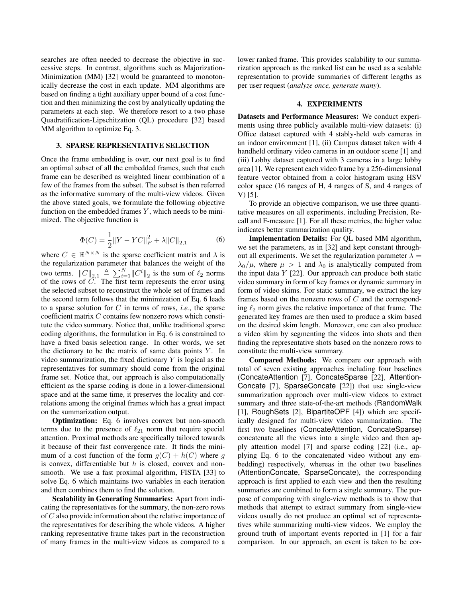searches are often needed to decrease the objective in successive steps. In contrast, algorithms such as Majorization-Minimization (MM) [32] would be guaranteed to monotonically decrease the cost in each update. MM algorithms are based on finding a tight auxiliary upper bound of a cost function and then minimizing the cost by analytically updating the parameters at each step. We therefore resort to a two phase Quadratification-Lipschitzation (QL) procedure [32] based MM algorithm to optimize Eq. 3.

## 3. SPARSE REPRESENTATIVE SELECTION

Once the frame embedding is over, our next goal is to find an optimal subset of all the embedded frames, such that each frame can be described as weighted linear combination of a few of the frames from the subset. The subset is then referred as the informative summary of the multi-view videos. Given the above stated goals, we formulate the following objective function on the embedded frames  $Y$ , which needs to be minimized. The objective function is

$$
\Phi(C) = \frac{1}{2} \|Y - YC\|_F^2 + \lambda \|C\|_{2,1}
$$
\n(6)

where  $C \in \mathbb{R}^{N \times N}$  is the sparse coefficient matrix and  $\lambda$  is the regularization parameter that balances the weight of the two terms.  $||C||_{2,1} \triangleq \sum_{i=1}^{N} ||C^i||_2$  is the sum of  $\ell_2$  norms of the rows of  $C$ . The first term represents the error using the selected subset to reconstruct the whole set of frames and the second term follows that the minimization of Eq. 6 leads to a sparse solution for C in terms of rows, *i.e.*, the sparse coefficient matrix C contains few nonzero rows which constitute the video summary. Notice that, unlike traditional sparse coding algorithms, the formulation in Eq. 6 is constrained to have a fixed basis selection range. In other words, we set the dictionary to be the matrix of same data points  $Y$ . In video summarization, the fixed dictionary  $Y$  is logical as the representatives for summary should come from the original frame set. Notice that, our approach is also computationally efficient as the sparse coding is done in a lower-dimensional space and at the same time, it preserves the locality and correlations among the original frames which has a great impact on the summarization output.

Optimization: Eq. 6 involves convex but non-smooth terms due to the presence of  $\ell_{21}$  norm that require special attention. Proximal methods are specifically tailored towards it because of their fast convergence rate. It finds the minimum of a cost function of the form  $g(C) + h(C)$  where g is convex, differentiable but  $h$  is closed, convex and nonsmooth. We use a fast proximal algorithm, FISTA [33] to solve Eq. 6 which maintains two variables in each iteration and then combines them to find the solution.

Scalability in Generating Summaries: Apart from indicating the representatives for the summary, the non-zero rows of C also provide information about the relative importance of the representatives for describing the whole videos. A higher ranking representative frame takes part in the reconstruction of many frames in the multi-view videos as compared to a

lower ranked frame. This provides scalability to our summarization approach as the ranked list can be used as a scalable representation to provide summaries of different lengths as per user request (*analyze once, generate many*).

## 4. EXPERIMENTS

Datasets and Performance Measures: We conduct experiments using three publicly available multi-view datasets: (i) Office dataset captured with 4 stably-held web cameras in an indoor environment [1], (ii) Campus dataset taken with 4 handheld ordinary video cameras in an outdoor scene [1] and (iii) Lobby dataset captured with 3 cameras in a large lobby area [1]. We represent each video frame by a 256-dimensional feature vector obtained from a color histogram using HSV color space (16 ranges of H, 4 ranges of S, and 4 ranges of V) [5].

To provide an objective comparison, we use three quantitative measures on all experiments, including Precision, Recall and F-measure [1]. For all these metrics, the higher value indicates better summarization quality.

Implementation Details: For QL based MM algorithm, we set the parameters, as in [32] and kept constant throughout all experiments. We set the regularization parameter  $\lambda =$  $\lambda_0/\mu$ , where  $\mu > 1$  and  $\lambda_0$  is analytically computed from the input data  $Y$  [22]. Our approach can produce both static video summary in form of key frames or dynamic summary in form of video skims. For static summary, we extract the key frames based on the nonzero rows of C and the corresponding  $\ell_2$  norm gives the relative importance of that frame. The generated key frames are then used to produce a skim based on the desired skim length. Moreover, one can also produce a video skim by segmenting the videos into shots and then finding the representative shots based on the nonzero rows to constitute the multi-view summary.

Compared Methods: We compare our approach with total of seven existing approaches including four baselines (ConcateAttention [7], ConcateSparse [22], Attention-Concate [7], SparseConcate [22]) that use single-view summarization approach over multi-view videos to extract summary and three state-of-the-art methods (RandomWalk [1], RoughSets [2], BipartiteOPF [4]) which are specifically designed for multi-view video summarization. The first two baselines (ConcateAttention, ConcateSparse) concatenate all the views into a single video and then apply attention model [7] and sparse coding [22] (i.e., applying Eq. 6 to the concatenated video without any embedding) respectively, whereas in the other two baselines (AttentionConcate, SparseConcate), the corresponding approach is first applied to each view and then the resulting summaries are combined to form a single summary. The purpose of comparing with single-view methods is to show that methods that attempt to extract summary from single-view videos usually do not produce an optimal set of representatives while summarizing multi-view videos. We employ the ground truth of important events reported in [1] for a fair comparison. In our approach, an event is taken to be cor-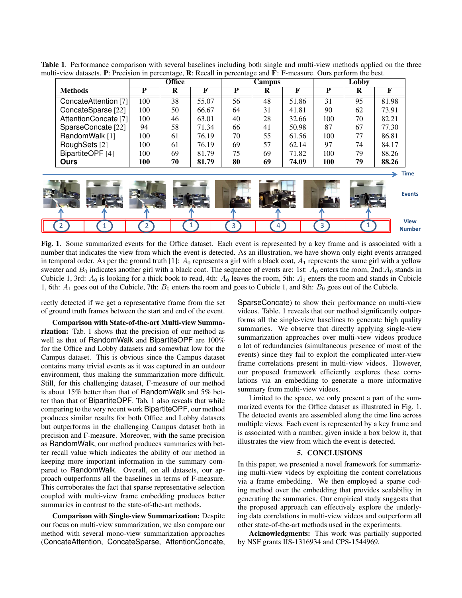| R<br>38<br>100<br>100<br>50 | F<br>55.07               | P<br>56 | R<br>48 | F                  | P   | R  | F     |
|-----------------------------|--------------------------|---------|---------|--------------------|-----|----|-------|
|                             |                          |         |         |                    |     |    |       |
|                             |                          |         |         | $51.\overline{86}$ | 31  | 95 | 81.98 |
|                             | 66.67                    | 64      | 31      | 41.81              | 90  | 62 | 73.91 |
| 46<br>100                   | 63.01                    | 40      | 28      | 32.66              | 100 | 70 | 82.21 |
| 58                          | 71.34                    | 66      | 41      | 50.98              | 87  | 67 | 77.30 |
| 61                          | 76.19                    | 70      | 55      | 61.56              | 100 | 77 | 86.81 |
| 61                          | 76.19                    | 69      | 57      | 62.14              | 97  | 74 | 84.17 |
| 69                          | 81.79                    | 75      | 69      | 71.82              | 100 | 79 | 88.26 |
| 70                          | 81.79                    | 80      | 69      | 74.09              | 100 | 79 | 88.26 |
|                             |                          |         |         |                    |     |    |       |
| 94                          | 100<br>100<br>100<br>100 |         |         |                    |     |    |       |

Table 1. Performance comparison with several baselines including both single and multi-view methods applied on the three multi-view datasets. P: Precision in percentage, R: Recall in percentage and F: F-measure. Ours perform the best.

Fig. 1. Some summarized events for the Office dataset. Each event is represented by a key frame and is associated with a number that indicates the view from which the event is detected. As an illustration, we have shown only eight events arranged in temporal order. As per the ground truth [1]:  $A_0$  represents a girl with a black coat,  $A_1$  represents the same girl with a yellow sweater and  $B_0$  indicates another girl with a black coat. The sequence of events are: 1st:  $A_0$  enters the room, 2nd: $A_0$  stands in Cubicle 1, 3rd:  $A_0$  is looking for a thick book to read, 4th:  $A_0$  leaves the room, 5th:  $A_1$  enters the room and stands in Cubicle 1, 6th:  $A_1$  goes out of the Cubicle, 7th:  $B_0$  enters the room and goes to Cubicle 1, and 8th:  $B_0$  goes out of the Cubicle.

2 )  $(1) (2) (1) (3) (4) (3) (1)$ 

rectly detected if we get a representative frame from the set of ground truth frames between the start and end of the event.

Comparison with State-of-the-art Multi-view Summarization: Tab. 1 shows that the precision of our method as well as that of RandomWalk and BipartiteOPF are 100% for the Office and Lobby datasets and somewhat low for the Campus dataset. This is obvious since the Campus dataset contains many trivial events as it was captured in an outdoor environment, thus making the summarization more difficult. Still, for this challenging dataset, F-measure of our method is about 15% better than that of RandomWalk and 5% better than that of BipartiteOPF. Tab. 1 also reveals that while comparing to the very recent work BipartiteOPF, our method produces similar results for both Office and Lobby datasets but outperforms in the challenging Campus dataset both in precision and F-measure. Moreover, with the same precision as RandomWalk, our method produces summaries with better recall value which indicates the ability of our method in keeping more important information in the summary compared to RandomWalk. Overall, on all datasets, our approach outperforms all the baselines in terms of F-measure. This corroborates the fact that sparse representative selection coupled with multi-view frame embedding produces better summaries in contrast to the state-of-the-art methods.

Comparison with Single-view Summarization: Despite our focus on multi-view summarization, we also compare our method with several mono-view summarization approaches (ConcateAttention, ConcateSparse, AttentionConcate, SparseConcate) to show their performance on multi-view videos. Table. 1 reveals that our method significantly outperforms all the single-view baselines to generate high quality summaries. We observe that directly applying single-view summarization approaches over multi-view videos produce a lot of redundancies (simultaneous presence of most of the events) since they fail to exploit the complicated inter-view frame correlations present in multi-view videos. However, our proposed framework efficiently explores these correlations via an embedding to generate a more informative summary from multi-view videos.

**View Number**

Limited to the space, we only present a part of the summarized events for the Office dataset as illustrated in Fig. 1. The detected events are assembled along the time line across multiple views. Each event is represented by a key frame and is associated with a number, given inside a box below it, that illustrates the view from which the event is detected.

#### 5. CONCLUSIONS

In this paper, we presented a novel framework for summarizing multi-view videos by exploiting the content correlations via a frame embedding. We then employed a sparse coding method over the embedding that provides scalability in generating the summaries. Our empirical study suggests that the proposed approach can effectively explore the underlying data correlations in multi-view videos and outperform all other state-of-the-art methods used in the experiments.

Acknowledgments: This work was partially supported by NSF grants IIS-1316934 and CPS-1544969.